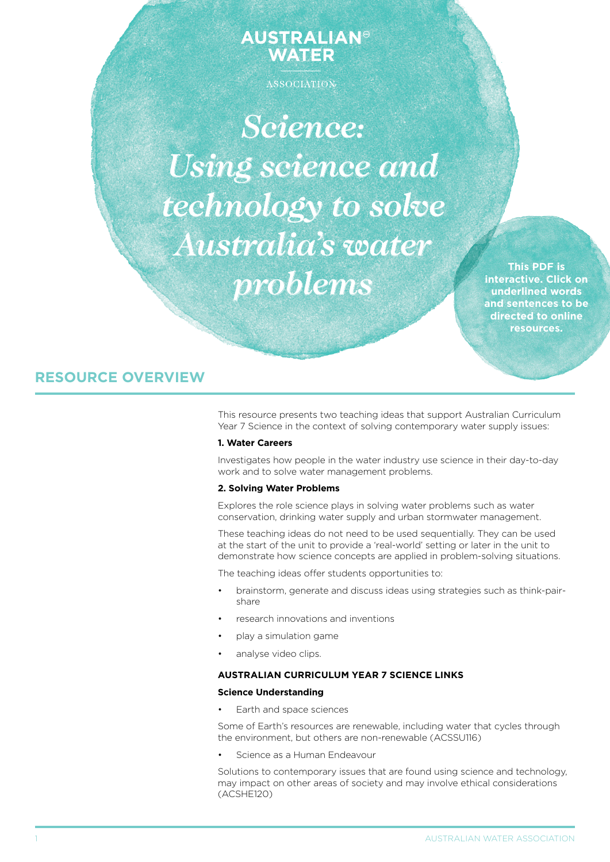# **AUSTRALIAN® WATER**

ASSOCIATION

*Science: Using science and technology to solve Australia's water problems*

**This PDF is interactive. Click on underlined words and sentences to be directed to online resources.**

# **RESOURCE OVERVIEW**

This resource presents two teaching ideas that support Australian Curriculum Year 7 Science in the context of solving contemporary water supply issues:

# **1. Water Careers**

Investigates how people in the water industry use science in their day-to-day work and to solve water management problems.

# **2. Solving Water Problems**

Explores the role science plays in solving water problems such as water conservation, drinking water supply and urban stormwater management.

These teaching ideas do not need to be used sequentially. They can be used at the start of the unit to provide a 'real-world' setting or later in the unit to demonstrate how science concepts are applied in problem-solving situations.

The teaching ideas offer students opportunities to:

- brainstorm, generate and discuss ideas using strategies such as think-pairshare
- research innovations and inventions
- play a simulation game
- analyse video clips.

### **AUStralian curriculum year 7 science links**

## **Science Understanding**

Earth and space sciences

Some of Earth's resources are renewable, including water that cycles through the environment, but others are non-renewable (ACSSU116)

Science as a Human Endeavour

Solutions to contemporary issues that are found using science and technology, may impact on other areas of society and may involve ethical considerations (ACSHE120)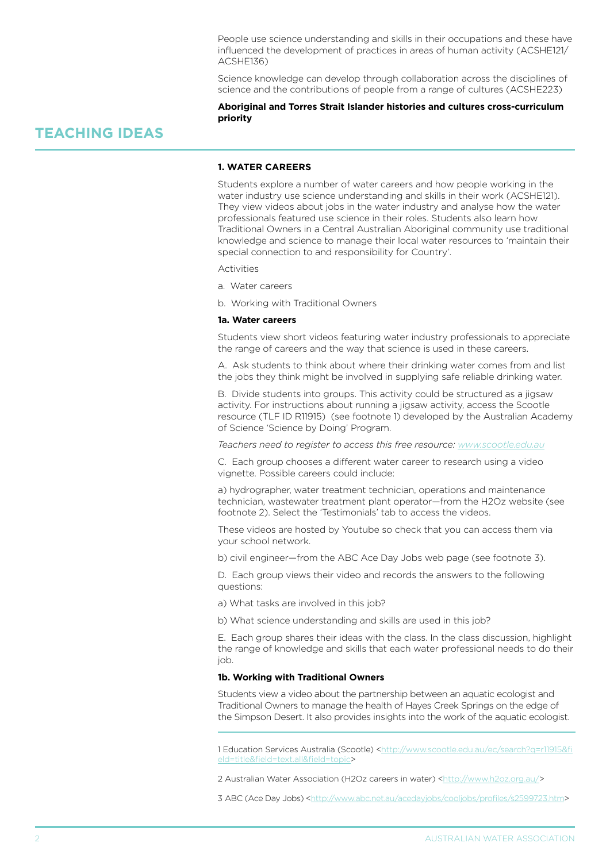People use science understanding and skills in their occupations and these have influenced the development of practices in areas of human activity (ACSHE121/ ACSHE136)

Science knowledge can develop through collaboration across the disciplines of science and the contributions of people from a range of cultures (ACSHE223)

# **Aboriginal and Torres Strait Islander histories and cultures cross-curriculum priority**

# **TEACHING IDEAS**

# **1. water careers**

Students explore a number of water careers and how people working in the water industry use science understanding and skills in their work (ACSHE121). They view videos about jobs in the water industry and analyse how the water professionals featured use science in their roles. Students also learn how Traditional Owners in a Central Australian Aboriginal community use traditional knowledge and science to manage their local water resources to 'maintain their special connection to and responsibility for Country'.

Activities

- a. Water careers
- b. Working with Traditional Owners

#### **1a. Water careers**

Students view short videos featuring water industry professionals to appreciate the range of careers and the way that science is used in these careers.

A. Ask students to think about where their drinking water comes from and list the jobs they think might be involved in supplying safe reliable drinking water.

B. Divide students into groups. This activity could be structured as a jigsaw activity. For instructions about running a jigsaw activity, access the Scootle resource (TLF ID R11915) (see footnote 1) developed by the Australian Academy of Science 'Science by Doing' Program.

*Teachers need to register to access this free resource: <www.scootle.edu.au>*

C. Each group chooses a different water career to research using a video vignette. Possible careers could include:

a) hydrographer, water treatment technician, operations and maintenance technician, wastewater treatment plant operator—from the H2Oz website (see footnote 2). Select the 'Testimonials' tab to access the videos.

These videos are hosted by Youtube so check that you can access them via your school network.

b) civil engineer—from the ABC Ace Day Jobs web page (see footnote 3).

D. Each group views their video and records the answers to the following questions:

a) What tasks are involved in this job?

b) What science understanding and skills are used in this job?

E. Each group shares their ideas with the class. In the class discussion, highlight the range of knowledge and skills that each water professional needs to do their job.

### **1b. Working with Traditional Owners**

Students view a video about the partnership between an aquatic ecologist and Traditional Owners to manage the health of Hayes Creek Springs on the edge of the Simpson Desert. It also provides insights into the work of the aquatic ecologist.

1 Education Services Australia (Scootle) [<http://www.scootle.edu.au/ec/search?q=r11915&fi](http://www.scootle.edu.au/ec/search?q=r11915&field=title&field=text.all&field=topic) [eld=title&field=text.all&field=topic](http://www.scootle.edu.au/ec/search?q=r11915&field=title&field=text.all&field=topic)>

2 Australian Water Association (H2Oz careers in water) [<http://www.h2oz.org.au/](http://www.h2oz.org.au/)>

3 ABC (Ace Day Jobs) [<http://www.abc.net.au/acedayjobs/cooljobs/profiles/s2599723.htm>](http://www.abc.net.au/acedayjobs/cooljobs/profiles/s2599723.htm)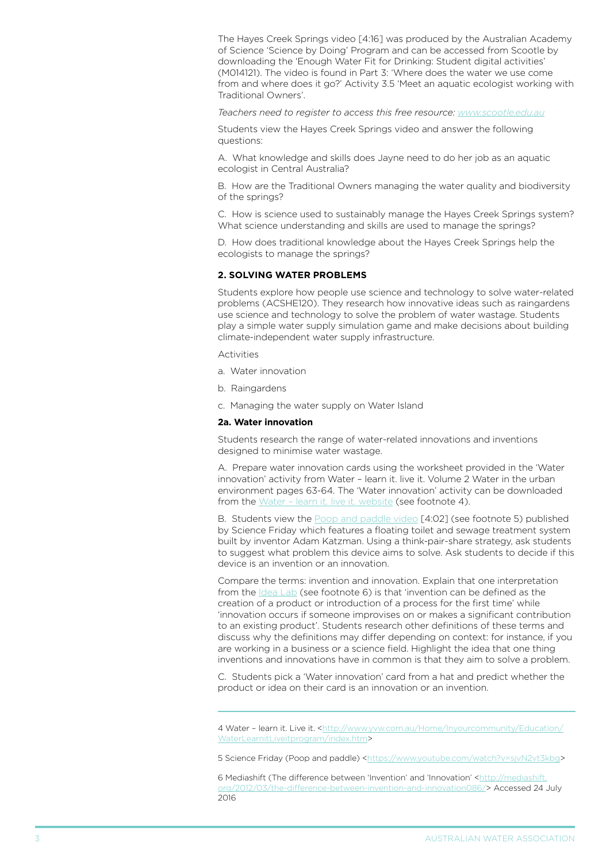The Hayes Creek Springs video [4:16] was produced by the Australian Academy of Science 'Science by Doing' Program and can be accessed from Scootle by downloading the 'Enough Water Fit for Drinking: Student digital activities' (M014121). The video is found in Part 3: 'Where does the water we use come from and where does it go?' Activity 3.5 'Meet an aquatic ecologist working with Traditional Owners'.

*Teachers need to register to access this free resource: <www.scootle.edu.au>*

Students view the Hayes Creek Springs video and answer the following questions:

A. What knowledge and skills does Jayne need to do her job as an aquatic ecologist in Central Australia?

B. How are the Traditional Owners managing the water quality and biodiversity of the springs?

C. How is science used to sustainably manage the Hayes Creek Springs system? What science understanding and skills are used to manage the springs?

D. How does traditional knowledge about the Hayes Creek Springs help the ecologists to manage the springs?

#### **2. solving water problems**

Students explore how people use science and technology to solve water-related problems (ACSHE120). They research how innovative ideas such as raingardens use science and technology to solve the problem of water wastage. Students play a simple water supply simulation game and make decisions about building climate-independent water supply infrastructure.

Activities

- a. Water innovation
- b. Raingardens
- c. Managing the water supply on Water Island

#### **2a. Water innovation**

Students research the range of water-related innovations and inventions designed to minimise water wastage.

A. Prepare water innovation cards using the worksheet provided in the 'Water innovation' activity from Water – learn it. live it. Volume 2 Water in the urban environment pages 63-64. The 'Water innovation' activity can be downloaded from the Water - learn it. live it. website (see footnote 4).

B. Students view the [Poop and paddle video](https://www.youtube.com/watch?v=sjvN2vt3kbg) [4:02] (see footnote 5) published by Science Friday which features a floating toilet and sewage treatment system built by inventor Adam Katzman. Using a think-pair-share strategy, ask students to suggest what problem this device aims to solve. Ask students to decide if this device is an invention or an innovation.

Compare the terms: invention and innovation. Explain that one interpretation from the [Idea Lab](http://mediashift.org/2012/03/the-difference-between-invention-and-innovation086/) (see footnote 6) is that 'invention can be defined as the creation of a product or introduction of a process for the first time' while 'innovation occurs if someone improvises on or makes a significant contribution to an existing product'. Students research other definitions of these terms and discuss why the definitions may differ depending on context: for instance, if you are working in a business or a science field. Highlight the idea that one thing inventions and innovations have in common is that they aim to solve a problem.

C. Students pick a 'Water innovation' card from a hat and predict whether the product or idea on their card is an innovation or an invention.

6 Mediashift (The difference between 'Invention' and 'Innovation' <http://mediashift [org/2012/03/the-difference-between-invention-and-innovation086/>](http://mediashift.org/2012/03/the-difference-between-invention-and-innovation086/) Accessed 24 July 2016

<sup>4</sup> Water - learn it. Live it. <[http://www.yvw.com.au/Home/Inyourcommunity/Education/](http://www.yvw.com.au/Home/Inyourcommunity/Education/WaterLearnitLiveitprogram/index.htm) [WaterLearnitLiveitprogram/index.htm>](http://www.yvw.com.au/Home/Inyourcommunity/Education/WaterLearnitLiveitprogram/index.htm)

<sup>5</sup> Science Friday (Poop and paddle) [<https://www.youtube.com/watch?v=sjvN2vt3kbg>](https://www.youtube.com/watch?v=sjvN2vt3kbg)